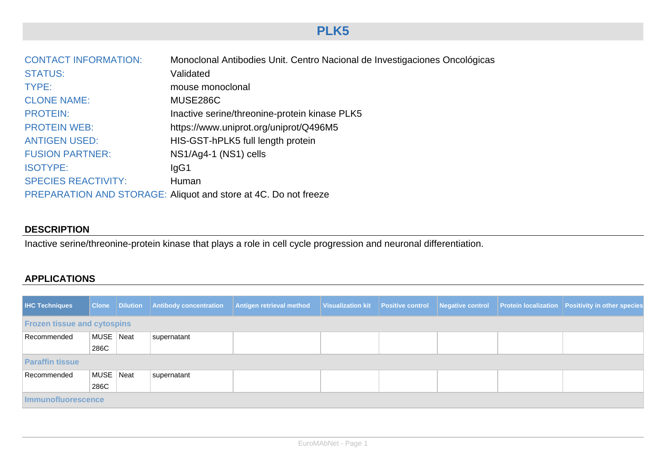## **PLK5**

| <b>CONTACT INFORMATION:</b> | Monoclonal Antibodies Unit. Centro Nacional de Investigaciones Oncológicas |
|-----------------------------|----------------------------------------------------------------------------|
| <b>STATUS:</b>              | Validated                                                                  |
| TYPE:                       | mouse monoclonal                                                           |
| <b>CLONE NAME:</b>          | MUSE286C                                                                   |
| <b>PROTEIN:</b>             | Inactive serine/threonine-protein kinase PLK5                              |
| <b>PROTEIN WEB:</b>         | https://www.uniprot.org/uniprot/Q496M5                                     |
| <b>ANTIGEN USED:</b>        | HIS-GST-hPLK5 full length protein                                          |
| <b>FUSION PARTNER:</b>      | NS1/Ag4-1 (NS1) cells                                                      |
| <b>ISOTYPE:</b>             | lgG1                                                                       |
| <b>SPECIES REACTIVITY:</b>  | Human                                                                      |
|                             | PREPARATION AND STORAGE: Aliquot and store at 4C. Do not freeze            |

## **DESCRIPTION**

Inactive serine/threonine-protein kinase that plays a role in cell cycle progression and neuronal differentiation.

## **APPLICATIONS**

| <b>IHC Techniques</b>              |           |  |             | Clone Dilution Antibody concentration Antigen retrieval method Visualization kit Positive control Negative control Protein localization Positivity in other species |  |  |  |  |  |
|------------------------------------|-----------|--|-------------|---------------------------------------------------------------------------------------------------------------------------------------------------------------------|--|--|--|--|--|
| <b>Frozen tissue and cytospins</b> |           |  |             |                                                                                                                                                                     |  |  |  |  |  |
| Recommended                        | MUSE Neat |  | supernatant |                                                                                                                                                                     |  |  |  |  |  |
|                                    | 286C      |  |             |                                                                                                                                                                     |  |  |  |  |  |
| <b>Paraffin tissue</b>             |           |  |             |                                                                                                                                                                     |  |  |  |  |  |
| Recommended                        | MUSE Neat |  | supernatant |                                                                                                                                                                     |  |  |  |  |  |
|                                    | 286C      |  |             |                                                                                                                                                                     |  |  |  |  |  |
| <b>Immunofluorescence</b>          |           |  |             |                                                                                                                                                                     |  |  |  |  |  |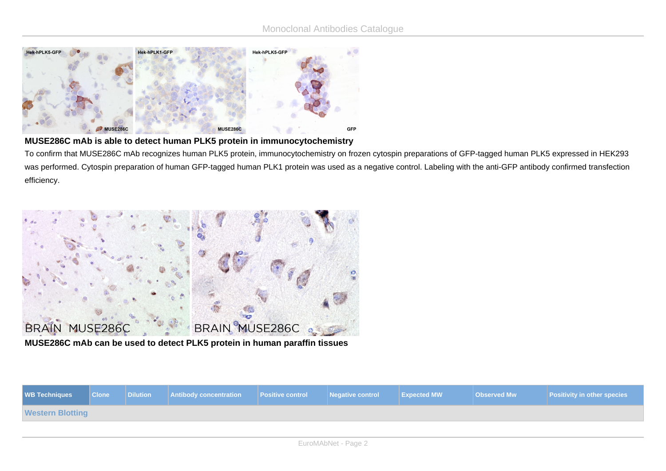

## **MUSE286C mAb is able to detect human PLK5 protein in immunocytochemistry**

To confirm that MUSE286C mAb recognizes human PLK5 protein, immunocytochemistry on frozen cytospin preparations of GFP-tagged human PLK5 expressed in HEK293 was performed. Cytospin preparation of human GFP-tagged human PLK1 protein was used as a negative control. Labeling with the anti-GFP antibody confirmed transfection efficiency.



**MUSE286C mAb can be used to detect PLK5 protein in human paraffin tissues**

| <b>WB Techniques</b>    | <b>Clone</b> | Dilution | Antibody concentration   Positive control   Negative control   Expected MW |  |  |  | Observed Mw | <b>Positivity in other species</b> |  |
|-------------------------|--------------|----------|----------------------------------------------------------------------------|--|--|--|-------------|------------------------------------|--|
| <b>Western Blotting</b> |              |          |                                                                            |  |  |  |             |                                    |  |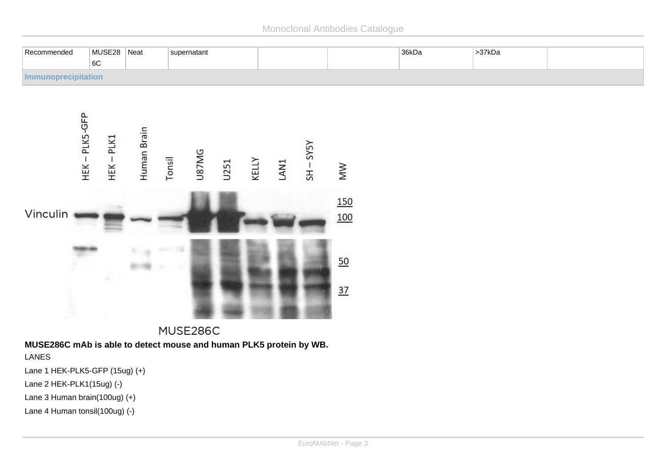Monoclonal Antibodies Catalogue